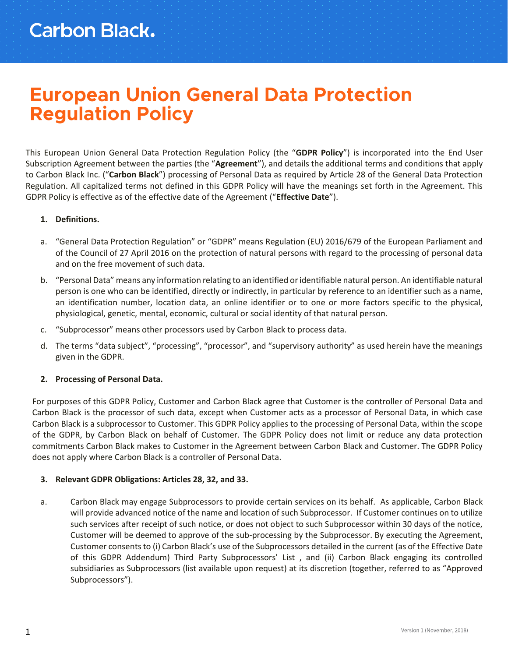## **European Union General Data Protection Regulation Policy**

This European Union General Data Protection Regulation Policy (the "**GDPR Policy**") is incorporated into the End User Subscription Agreement between the parties (the "**Agreement**"), and details the additional terms and conditions that apply to Carbon Black Inc. ("**Carbon Black**") processing of Personal Data as required by Article 28 of the General Data Protection Regulation. All capitalized terms not defined in this GDPR Policy will have the meanings set forth in the Agreement. This GDPR Policy is effective as of the effective date of the Agreement ("**Effective Date**").

### **1. Definitions.**

- a. "General Data Protection Regulation" or "GDPR" means Regulation (EU) 2016/679 of the European Parliament and of the Council of 27 April 2016 on the protection of natural persons with regard to the processing of personal data and on the free movement of such data.
- b. "Personal Data" means any information relating to an identified or identifiable natural person. An identifiable natural person is one who can be identified, directly or indirectly, in particular by reference to an identifier such as a name, an identification number, location data, an online identifier or to one or more factors specific to the physical, physiological, genetic, mental, economic, cultural or social identity of that natural person.
- c. "Subprocessor" means other processors used by Carbon Black to process data.
- d. The terms "data subject", "processing", "processor", and "supervisory authority" as used herein have the meanings given in the GDPR.

#### **2. Processing of Personal Data.**

For purposes of this GDPR Policy, Customer and Carbon Black agree that Customer is the controller of Personal Data and Carbon Black is the processor of such data, except when Customer acts as a processor of Personal Data, in which case Carbon Black is a subprocessor to Customer. This GDPR Policy applies to the processing of Personal Data, within the scope of the GDPR, by Carbon Black on behalf of Customer. The GDPR Policy does not limit or reduce any data protection commitments Carbon Black makes to Customer in the Agreement between Carbon Black and Customer. The GDPR Policy does not apply where Carbon Black is a controller of Personal Data.

#### **3. Relevant GDPR Obligations: Articles 28, 32, and 33.**

a. Carbon Black may engage Subprocessors to provide certain services on its behalf. As applicable, Carbon Black will provide advanced notice of the name and location of such Subprocessor. If Customer continues on to utilize such services after receipt of such notice, or does not object to such Subprocessor within 30 days of the notice, Customer will be deemed to approve of the sub-processing by the Subprocessor. By executing the Agreement, Customer consents to (i) Carbon Black's use of the Subprocessors detailed in the current (as of the Effective Date of this GDPR Addendum) Third Party Subprocessors' List , and (ii) Carbon Black engaging its controlled subsidiaries as Subprocessors (list available upon request) at its discretion (together, referred to as "Approved Subprocessors").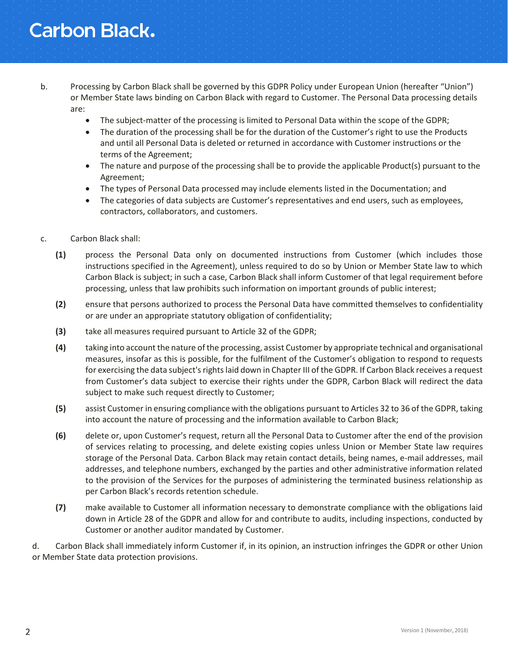# **Carbon Black.**

- b. Processing by Carbon Black shall be governed by this GDPR Policy under European Union (hereafter "Union") or Member State laws binding on Carbon Black with regard to Customer. The Personal Data processing details are:
	- The subject-matter of the processing is limited to Personal Data within the scope of the GDPR;
	- The duration of the processing shall be for the duration of the Customer's right to use the Products and until all Personal Data is deleted or returned in accordance with Customer instructions or the terms of the Agreement;
	- The nature and purpose of the processing shall be to provide the applicable Product(s) pursuant to the Agreement;
	- The types of Personal Data processed may include elements listed in the Documentation; and
	- The categories of data subjects are Customer's representatives and end users, such as employees, contractors, collaborators, and customers.
- c. Carbon Black shall:
	- **(1)** process the Personal Data only on documented instructions from Customer (which includes those instructions specified in the Agreement), unless required to do so by Union or Member State law to which Carbon Black is subject; in such a case, Carbon Black shall inform Customer of that legal requirement before processing, unless that law prohibits such information on important grounds of public interest;
	- **(2)** ensure that persons authorized to process the Personal Data have committed themselves to confidentiality or are under an appropriate statutory obligation of confidentiality;
	- **(3)** take all measures required pursuant to Article 32 of the GDPR;
	- **(4)** taking into account the nature of the processing, assist Customer by appropriate technical and organisational measures, insofar as this is possible, for the fulfilment of the Customer's obligation to respond to requests for exercising the data subject's rights laid down in Chapter III of the GDPR. If Carbon Black receives a request from Customer's data subject to exercise their rights under the GDPR, Carbon Black will redirect the data subject to make such request directly to Customer;
	- **(5)** assist Customer in ensuring compliance with the obligations pursuant to Articles 32 to 36 of the GDPR, taking into account the nature of processing and the information available to Carbon Black;
	- **(6)** delete or, upon Customer's request, return all the Personal Data to Customer after the end of the provision of services relating to processing, and delete existing copies unless Union or Member State law requires storage of the Personal Data. Carbon Black may retain contact details, being names, e-mail addresses, mail addresses, and telephone numbers, exchanged by the parties and other administrative information related to the provision of the Services for the purposes of administering the terminated business relationship as per Carbon Black's records retention schedule.
	- **(7)** make available to Customer all information necessary to demonstrate compliance with the obligations laid down in Article 28 of the GDPR and allow for and contribute to audits, including inspections, conducted by Customer or another auditor mandated by Customer.

d. Carbon Black shall immediately inform Customer if, in its opinion, an instruction infringes the GDPR or other Union or Member State data protection provisions.